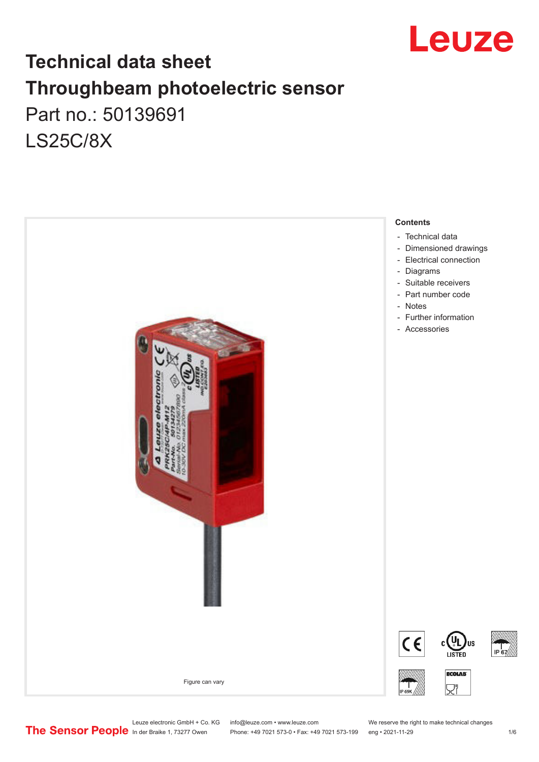

## **Technical data sheet Throughbeam photoelectric sensor**  Part no.: 50139691 LS25C/8X



Leuze electronic GmbH + Co. KG info@leuze.com • www.leuze.com We reserve the right to make technical changes<br>
The Sensor People in der Braike 1, 73277 Owen Phone: +49 7021 573-0 • Fax: +49 7021 573-199 eng • 2021-11-29

Phone: +49 7021 573-0 • Fax: +49 7021 573-199 eng • 2021-11-29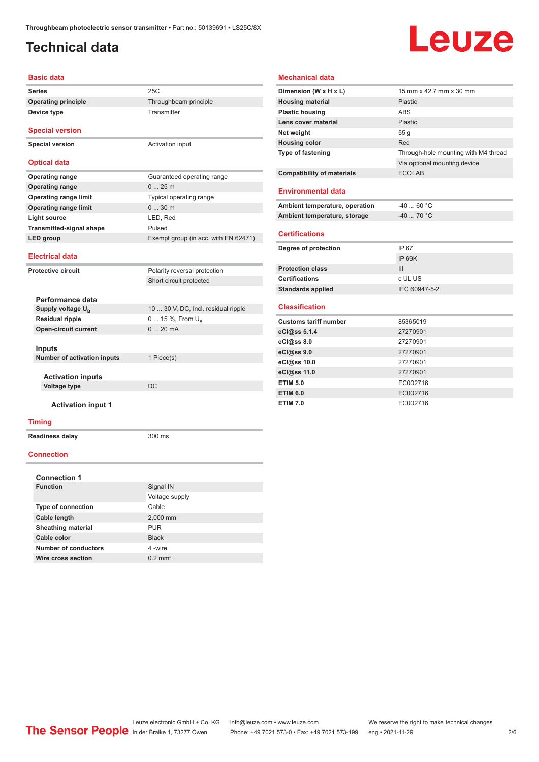## <span id="page-1-0"></span>**Technical data**

**Device type** Transmitter

# Leuze

#### **Basic data**

**Series** 25C **Operating principle** Throughbeam principle

**Special version**

**Special version** Activation input

#### **Optical data**

| <b>Operating range</b>          | Guaranteed operating range           |
|---------------------------------|--------------------------------------|
| <b>Operating range</b>          | $025$ m                              |
| <b>Operating range limit</b>    | Typical operating range              |
| <b>Operating range limit</b>    | $030$ m                              |
| Light source                    | LED, Red                             |
| <b>Transmitted-signal shape</b> | Pulsed                               |
| LED group                       | Exempt group (in acc. with EN 62471) |
|                                 |                                      |

#### **Electrical data**

| <b>Protective circuit</b>          |                               | Polarity reversal protection        |
|------------------------------------|-------------------------------|-------------------------------------|
|                                    |                               | Short circuit protected             |
|                                    |                               |                                     |
|                                    | Performance data              |                                     |
|                                    | Supply voltage U <sub>n</sub> | 10  30 V, DC, Incl. residual ripple |
|                                    | <b>Residual ripple</b>        | $0 15 \%$ , From $U_{\rm B}$        |
| <b>Open-circuit current</b>        |                               | $0.20 \text{ mA}$                   |
|                                    |                               |                                     |
|                                    | Inputs                        |                                     |
| <b>Number of activation inputs</b> |                               | 1 Piece(s)                          |
|                                    |                               |                                     |
|                                    | <b>Activation inputs</b>      |                                     |
|                                    | Voltage type                  | DC.                                 |
|                                    |                               |                                     |

#### **Activation input 1**

#### **Timing**

**Readiness delay** 300 ms

#### **Connection**

| <b>Connection 1</b>       |                    |  |
|---------------------------|--------------------|--|
| <b>Function</b>           | Signal IN          |  |
|                           | Voltage supply     |  |
| <b>Type of connection</b> | Cable              |  |
| Cable length              | 2,000 mm           |  |
| <b>Sheathing material</b> | <b>PUR</b>         |  |
| Cable color               | <b>Black</b>       |  |
| Number of conductors      | 4-wire             |  |
| Wire cross section        | $0.2 \text{ mm}^2$ |  |

### **Mechanical data**

| Dimension (W x H x L)             | 15 mm x 42.7 mm x 30 mm              |
|-----------------------------------|--------------------------------------|
| <b>Housing material</b>           | Plastic.                             |
| <b>Plastic housing</b>            | <b>ARS</b>                           |
| Lens cover material               | Plastic                              |
| Net weight                        | 55 <sub>g</sub>                      |
| <b>Housing color</b>              | Red                                  |
| <b>Type of fastening</b>          | Through-hole mounting with M4 thread |
|                                   | Via optional mounting device         |
| <b>Compatibility of materials</b> | <b>ECOLAB</b>                        |
|                                   |                                      |
| <b>Environmental data</b>         |                                      |
| Ambient temperature, operation    | $-4060 °C$                           |
| Ambient temperature, storage      | $-4070 °C$                           |
|                                   |                                      |
| <b>Certifications</b>             |                                      |
| Degree of protection              | IP 67                                |
|                                   | IP 69K                               |
| <b>Protection class</b>           | Ш                                    |
| <b>Certifications</b>             | c UL US                              |
| <b>Standards applied</b>          | IEC 60947-5-2                        |
|                                   |                                      |
| <b>Classification</b>             |                                      |
| <b>Customs tariff number</b>      | 85365019                             |
| eCl@ss 5.1.4                      | 27270901                             |
| eCl@ss 8.0                        | 27270901                             |
| eCl@ss 9.0                        | 27270901                             |
| eCl@ss 10.0                       | 27270901                             |
| eCl@ss 11.0                       | 27270901                             |
| <b>ETIM 5.0</b>                   | EC002716                             |
| <b>ETIM 6.0</b>                   | EC002716                             |
| <b>ETIM 7.0</b>                   | EC002716                             |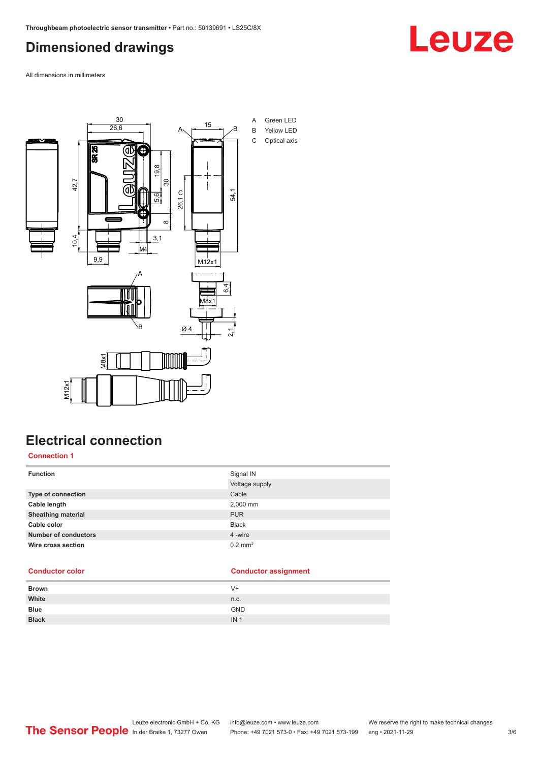## <span id="page-2-0"></span>**Dimensioned drawings**

Leuze

All dimensions in millimeters



## **Electrical connection**

**Connection 1**

| <b>Function</b>             | Signal IN             |
|-----------------------------|-----------------------|
|                             | Voltage supply        |
| Type of connection          | Cable                 |
| Cable length                | 2,000 mm              |
| <b>Sheathing material</b>   | <b>PUR</b>            |
| Cable color                 | <b>Black</b>          |
| <b>Number of conductors</b> | 4 -wire               |
| Wire cross section          | $0.2$ mm <sup>2</sup> |

### **Conductor color Conductor assignment**

| <b>Brown</b> | V+              |
|--------------|-----------------|
| White        | n.c.            |
| <b>Blue</b>  | <b>GND</b>      |
| <b>Black</b> | IN <sub>1</sub> |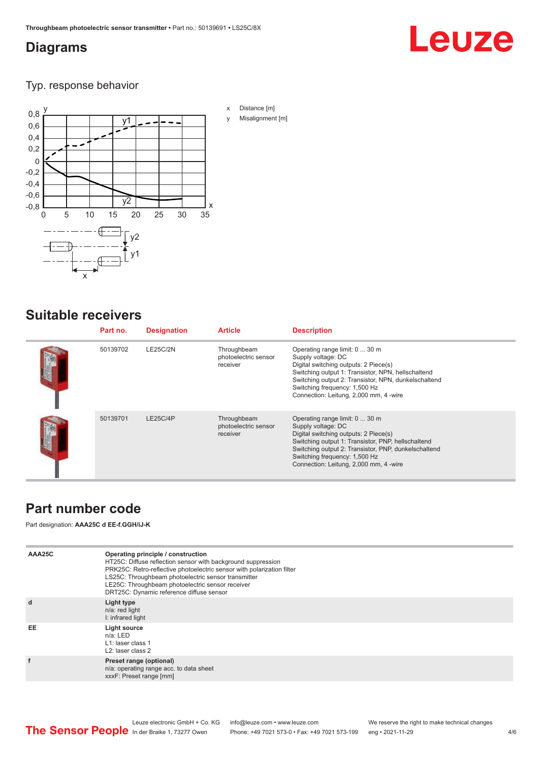## <span id="page-3-0"></span>**Diagrams**

# Leuze

Typ. response behavior



## **Suitable receivers**

| Part no. | <b>Designation</b> | <b>Article</b>                                  | <b>Description</b>                                                                                                                                                                                                                                                                     |
|----------|--------------------|-------------------------------------------------|----------------------------------------------------------------------------------------------------------------------------------------------------------------------------------------------------------------------------------------------------------------------------------------|
| 50139702 | <b>LE25C/2N</b>    | Throughbeam<br>photoelectric sensor<br>receiver | Operating range limit: 0  30 m<br>Supply voltage: DC<br>Digital switching outputs: 2 Piece(s)<br>Switching output 1: Transistor, NPN, hellschaltend<br>Switching output 2: Transistor, NPN, dunkelschaltend<br>Switching frequency: 1,500 Hz<br>Connection: Leitung, 2,000 mm, 4 -wire |
| 50139701 | LE25C/4P           | Throughbeam<br>photoelectric sensor<br>receiver | Operating range limit: 0  30 m<br>Supply voltage: DC<br>Digital switching outputs: 2 Piece(s)<br>Switching output 1: Transistor, PNP, hellschaltend<br>Switching output 2: Transistor, PNP, dunkelschaltend<br>Switching frequency: 1,500 Hz<br>Connection: Leitung, 2,000 mm, 4 -wire |

## **Part number code**

Part designation: **AAA25C d EE-f.GGH/iJ-K**

| AAA25C | Operating principle / construction<br>HT25C: Diffuse reflection sensor with background suppression<br>PRK25C: Retro-reflective photoelectric sensor with polarization filter<br>LS25C: Throughbeam photoelectric sensor transmitter<br>LE25C: Throughbeam photoelectric sensor receiver<br>DRT25C: Dynamic reference diffuse sensor |
|--------|-------------------------------------------------------------------------------------------------------------------------------------------------------------------------------------------------------------------------------------------------------------------------------------------------------------------------------------|
| d      | Light type<br>n/a: red light<br>I: infrared light                                                                                                                                                                                                                                                                                   |
| EE     | Light source<br>$n/a$ : LED<br>L1: laser class 1<br>L <sub>2</sub> : laser class 2                                                                                                                                                                                                                                                  |
|        | Preset range (optional)<br>n/a: operating range acc. to data sheet<br>xxxF: Preset range [mm]                                                                                                                                                                                                                                       |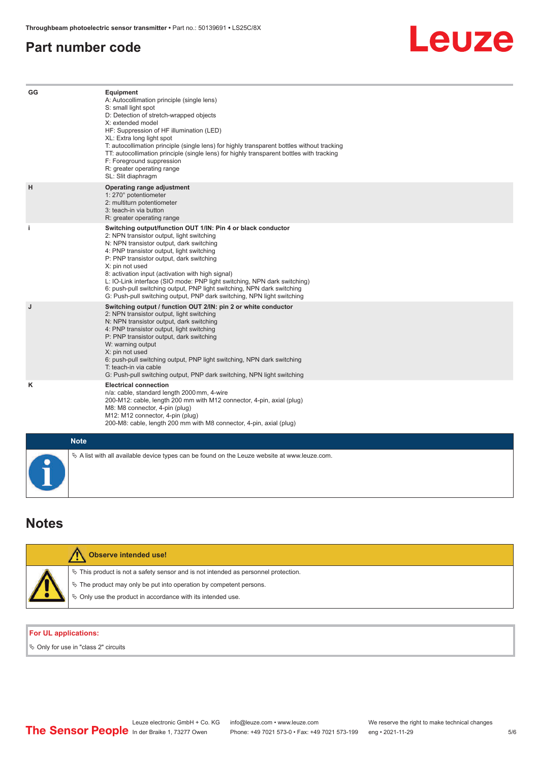## <span id="page-4-0"></span>**Part number code**

## Leuze

| GG        | Equipment<br>A: Autocollimation principle (single lens)<br>S: small light spot<br>D: Detection of stretch-wrapped objects<br>X: extended model<br>HF: Suppression of HF illumination (LED)<br>XL: Extra long light spot<br>T: autocollimation principle (single lens) for highly transparent bottles without tracking<br>TT: autocollimation principle (single lens) for highly transparent bottles with tracking<br>F: Foreground suppression<br>R: greater operating range<br>SL: Slit diaphragm                                                     |
|-----------|--------------------------------------------------------------------------------------------------------------------------------------------------------------------------------------------------------------------------------------------------------------------------------------------------------------------------------------------------------------------------------------------------------------------------------------------------------------------------------------------------------------------------------------------------------|
| H         | Operating range adjustment<br>1: 270° potentiometer<br>2: multiturn potentiometer<br>3: teach-in via button<br>R: greater operating range                                                                                                                                                                                                                                                                                                                                                                                                              |
| j.        | Switching output/function OUT 1/IN: Pin 4 or black conductor<br>2: NPN transistor output, light switching<br>N: NPN transistor output, dark switching<br>4: PNP transistor output, light switching<br>P: PNP transistor output, dark switching<br>X: pin not used<br>8: activation input (activation with high signal)<br>L: IO-Link interface (SIO mode: PNP light switching, NPN dark switching)<br>6: push-pull switching output, PNP light switching, NPN dark switching<br>G: Push-pull switching output, PNP dark switching, NPN light switching |
| J         | Switching output / function OUT 2/IN: pin 2 or white conductor<br>2: NPN transistor output, light switching<br>N: NPN transistor output, dark switching<br>4: PNP transistor output, light switching<br>P: PNP transistor output, dark switching<br>W: warning output<br>X: pin not used<br>6: push-pull switching output, PNP light switching, NPN dark switching<br>T: teach-in via cable<br>G: Push-pull switching output, PNP dark switching, NPN light switching                                                                                  |
| ĸ         | <b>Electrical connection</b><br>n/a: cable, standard length 2000 mm, 4-wire<br>200-M12: cable, length 200 mm with M12 connector, 4-pin, axial (plug)<br>M8: M8 connector, 4-pin (plug)<br>M12: M12 connector, 4-pin (plug)<br>200-M8: cable, length 200 mm with M8 connector, 4-pin, axial (plug)                                                                                                                                                                                                                                                      |
|           | <b>Note</b>                                                                                                                                                                                                                                                                                                                                                                                                                                                                                                                                            |
| $\bullet$ | $\%$ A list with all available device types can be found on the Leuze website at www.leuze.com.                                                                                                                                                                                                                                                                                                                                                                                                                                                        |

## **Notes**

| Observe intended use!                                                                                                                                                                                                         |
|-------------------------------------------------------------------------------------------------------------------------------------------------------------------------------------------------------------------------------|
| $\%$ This product is not a safety sensor and is not intended as personnel protection.<br>$\%$ The product may only be put into operation by competent persons.<br>♦ Only use the product in accordance with its intended use. |

### **For UL applications:**

 $\%$  Only for use in "class 2" circuits

5 /6